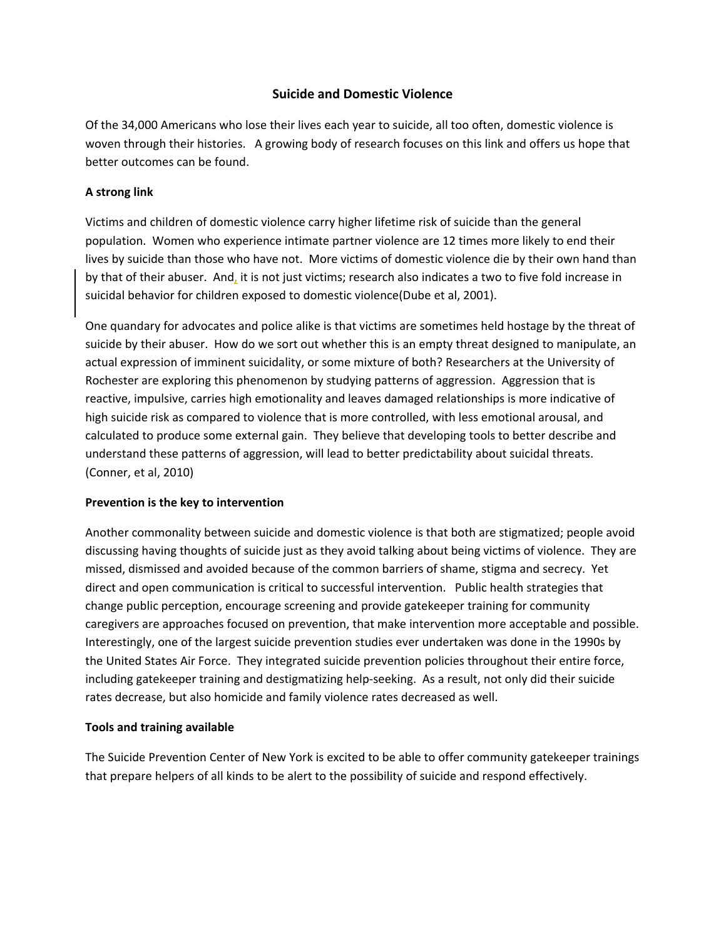# **Suicide and Domestic Violence**

Of the 34,000 Americans who lose their lives each year to suicide, all too often, domestic violence is woven through their histories. A growing body of research focuses on this link and offers us hope that better outcomes can be found.

## **A strong link**

Victims and children of domestic violence carry higher lifetime risk of suicide than the general population. Women who experience intimate partner violence are 12 times more likely to end their lives by suicide than those who have not. More victims of domestic violence die by their own hand than by that of their abuser. And, it is not just victims; research also indicates a two to five fold increase in suicidal behavior for children exposed to domestic violence(Dube et al, 2001).

One quandary for advocates and police alike is that victims are sometimes held hostage by the threat of suicide by their abuser. How do we sort out whether this is an empty threat designed to manipulate, an actual expression of imminent suicidality, or some mixture of both? Researchers at the University of Rochester are exploring this phenomenon by studying patterns of aggression. Aggression that is reactive, impulsive, carries high emotionality and leaves damaged relationships is more indicative of high suicide risk as compared to violence that is more controlled, with less emotional arousal, and calculated to produce some external gain. They believe that developing tools to better describe and understand these patterns of aggression, will lead to better predictability about suicidal threats. (Conner, et al, 2010)

### **Prevention is the key to intervention**

Another commonality between suicide and domestic violence is that both are stigmatized; people avoid discussing having thoughts of suicide just as they avoid talking about being victims of violence. They are missed, dismissed and avoided because of the common barriers of shame, stigma and secrecy. Yet direct and open communication is critical to successful intervention. Public health strategies that change public perception, encourage screening and provide gatekeeper training for community caregivers are approaches focused on prevention, that make intervention more acceptable and possible. Interestingly, one of the largest suicide prevention studies ever undertaken was done in the 1990s by the United States Air Force. They integrated suicide prevention policies throughout their entire force, including gatekeeper training and destigmatizing help-seeking. As a result, not only did their suicide rates decrease, but also homicide and family violence rates decreased as well.

### **Tools and training available**

The Suicide Prevention Center of New York is excited to be able to offer community gatekeeper trainings that prepare helpers of all kinds to be alert to the possibility of suicide and respond effectively.